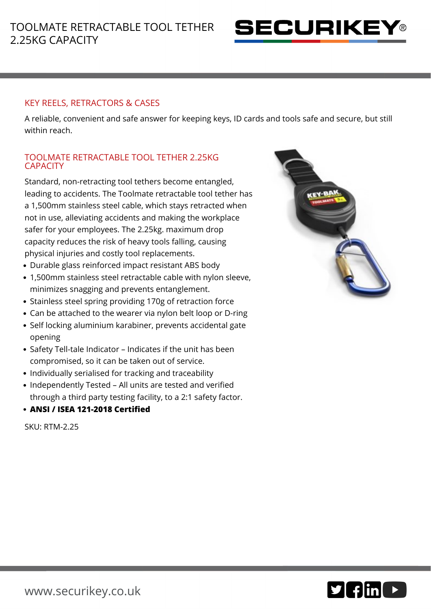

## KEY REELS, RETRACTORS & CASES

A reliable, convenient and safe answer for keeping keys, ID cards and tools safe and secure, but still within reach.

## TOOLMATE RETRACTABLE TOOL TETHER 2.25KG **CAPACITY**

Standard, non-retracting tool tethers become entangled, leading to accidents. The Toolmate retractable tool tether has a 1,500mm stainless steel cable, which stays retracted when not in use, alleviating accidents and making the workplace safer for your employees. The 2.25kg. maximum drop capacity reduces the risk of heavy tools falling, causing physical injuries and costly tool replacements.

- Durable glass reinforced impact resistant ABS body
- 1,500mm stainless steel retractable cable with nylon sleeve, minimizes snagging and prevents entanglement.
- Stainless steel spring providing 170g of retraction force
- Can be attached to the wearer via nylon belt loop or D-ring
- Self locking aluminium karabiner, prevents accidental gate opening
- Safety Tell-tale Indicator Indicates if the unit has been compromised, so it can be taken out of service.
- Individually serialised for tracking and traceability
- Independently Tested All units are tested and verified through a third party testing facility, to a 2:1 safety factor.
- **ANSI / ISEA 121-2018 Certified**

SKU: RTM-2.25



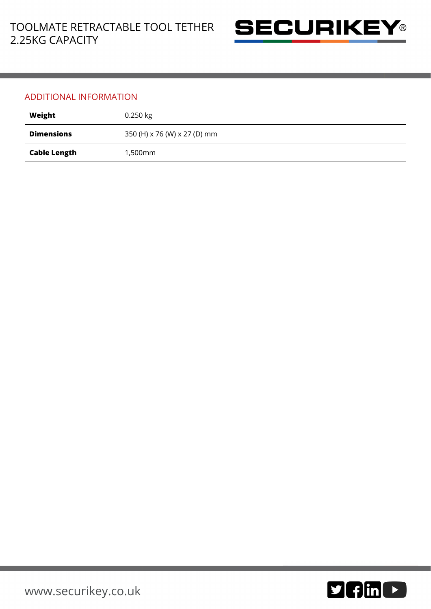

## ADDITIONAL INFORMATION

| Weight              | $0.250$ kg                   |
|---------------------|------------------------------|
| <b>Dimensions</b>   | 350 (H) x 76 (W) x 27 (D) mm |
| <b>Cable Length</b> | 1,500mm                      |

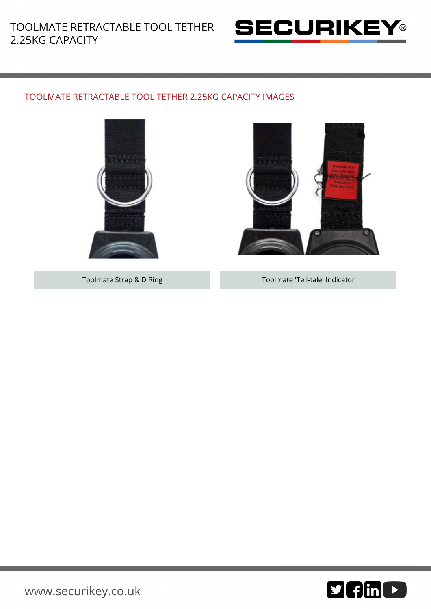

## TOOLMATE RETRACTABLE TOOL TETHER 2.25KG CAPACITY IMAGES





Toolmate Strap & D Ring Toolmate 'Tell-tale' Indicator